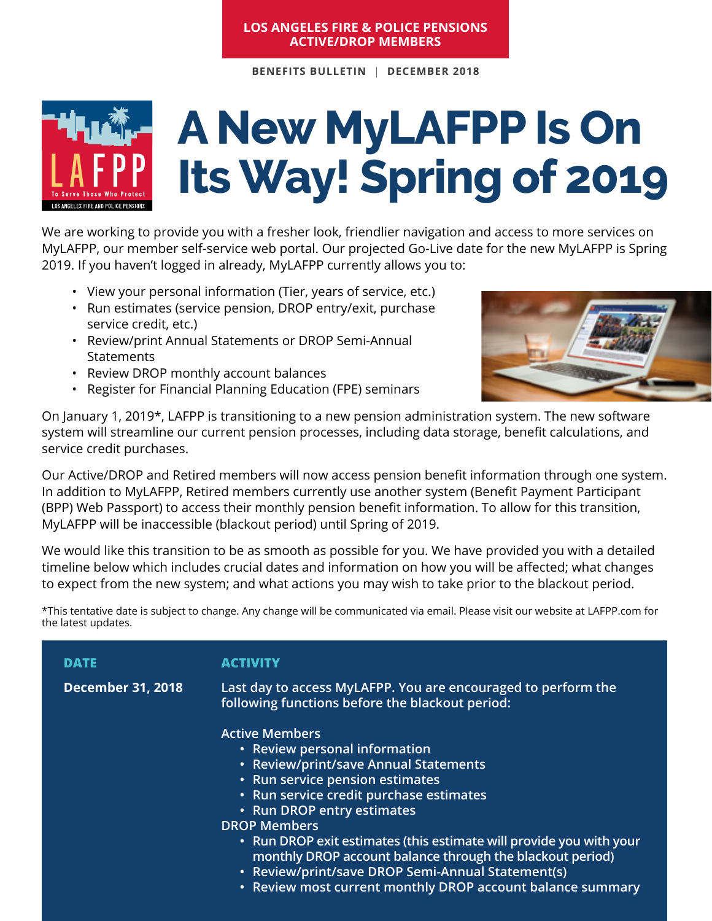#### **Los Angeles Fire & Police Pensions Active/DROP Members**

**BENEFITS BULLETIN** | **DECEMBER 2018**



# **A New MyLAFPP Is On Its Way! Spring of 2019**

We are working to provide you with a fresher look, friendlier navigation and access to more services on MyLAFPP, our member self-service web portal. Our projected Go-Live date for the new MyLAFPP is Spring 2019. If you haven't logged in already, MyLAFPP currently allows you to:

- View your personal information (Tier, years of service, etc.)
- Run estimates (service pension, DROP entry/exit, purchase service credit, etc.)
- • Review/print Annual Statements or DROP Semi-Annual **Statements**
- • Review DROP monthly account balances
- • Register for Financial Planning Education (FPE) seminars



On January 1, 2019\*, LAFPP is transitioning to a new pension administration system. The new software system will streamline our current pension processes, including data storage, benefit calculations, and service credit purchases.

Our Active/DROP and Retired members will now access pension benefit information through one system. In addition to MyLAFPP, Retired members currently use another system (Benefit Payment Participant (BPP) Web Passport) to access their monthly pension benefit information. To allow for this transition, MyLAFPP will be inaccessible (blackout period) until Spring of 2019.

We would like this transition to be as smooth as possible for you. We have provided you with a detailed timeline below which includes crucial dates and information on how you will be affected; what changes to expect from the new system; and what actions you may wish to take prior to the blackout period.

\*This tentative date is subject to change. Any change will be communicated via email. Please visit our website at LAFPP.com for the latest updates.

| DATE                     | ACTIVITY                                                                                                                                                                                                                                                                                                                                                                                                                    |
|--------------------------|-----------------------------------------------------------------------------------------------------------------------------------------------------------------------------------------------------------------------------------------------------------------------------------------------------------------------------------------------------------------------------------------------------------------------------|
| <b>December 31, 2018</b> | Last day to access MyLAFPP. You are encouraged to perform the<br>following functions before the blackout period:                                                                                                                                                                                                                                                                                                            |
|                          | <b>Active Members</b><br>• Review personal information<br>• Review/print/save Annual Statements<br>• Run service pension estimates<br>· Run service credit purchase estimates<br>• Run DROP entry estimates<br><b>DROP Members</b><br>• Run DROP exit estimates (this estimate will provide you with your<br>monthly DROP account balance through the blackout period)<br>• Review/print/save DROP Semi-Annual Statement(s) |
|                          | • Review most current monthly DROP account balance summary                                                                                                                                                                                                                                                                                                                                                                  |